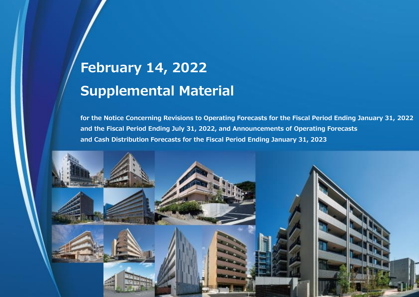# **February 14, 2022 Supplemental Material**

**for the Notice Concerning Revisions to Operating Forecasts for the Fiscal Period Ending January 31, 2022 and the Fiscal Period Ending July 31, 2022, and Announcements of Operating Forecasts and Cash Distribution Forecasts for the Fiscal Period Ending January 31, 2023** 

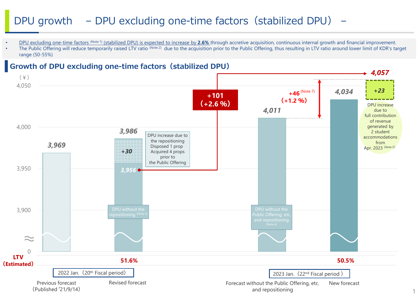# DPU growth – DPU excluding one-time factors (stabilized DPU) –

- DPU excluding one-time factors <sup>(Note 1)</sup> (stabilized DPU) is expected to increase by 2.6% through accretive acquisition, continuous internal growth and financial improvement.
- The Public Offering will reduce temporarily raised LTV ratio (Note 2) due to the acquisition prior to the Public Offering, thus resulting in LTV ratio around lower limit of KDR's target range (50-55%)



1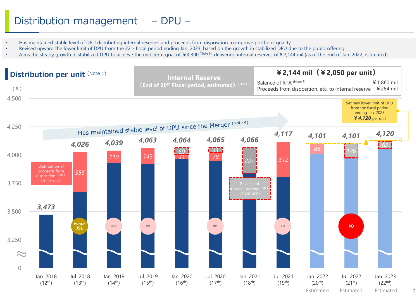# Distribution management – DPU –

- Has maintained stable level of DPU distributing internal reserves and proceeds from disposition to improve portfolio' quality
- Revised upward the lower limit of DPU from the 22<sup>nd</sup> fiscal period ending Jan. 2023, based on the growth in stabilized DPU due to the public offering
- Aims the steady growth in stabilized DPU to achieve the mid-term goal of ¥4,300 (Note 6), delivering internal reserves of ¥2,144 mil (as of the end of Jan. 2022, estimated)

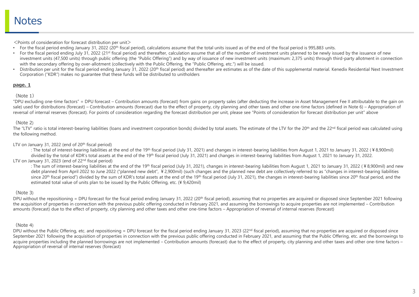$\leq$  Points of consideration for forecast distribution per unit $>$ 

- For the fiscal period ending January 31, 2022 (20<sup>th</sup> fiscal period), calculations assume that the total units issued as of the end of the fiscal period is 995,883 units.
- For the fiscal period ending July 31, 2022 (21<sup>st</sup> fiscal period) and thereafter, calculation assume that all of the number of investment units planned to be newly issued by the issuance of new investment units (47,500 units) through public offering (the "Public Offering") and by way of issuance of new investment units (maximum: 2,375 units) through third-party allotment in connection with the secondary offering by over-allotment (collectively with the Public Offering, the "Public Offering, etc.") will be issued.
- Distribution per unit for the fiscal period ending January 31, 2022 (20<sup>th</sup> fiscal period) and thereafter are estimates as of the date of this supplemental material. Kenedix Residential Next Investment Corporation ("KDR") makes no guarantee that these funds will be distributed to unitholders

# **page. 1**

# (Note 1)

"DPU excluding one-time factors" = DPU forecast – Contribution amounts (forecast) from gains on property sales (after deducting the increase in Asset Management Fee II attributable to the gain on sale) used for distributions (forecast) – Contribution amounts (forecast) due to the effect of property, city planning and other taxes and other one-time factors (defined in Note 6) – Appropriation of reversal of internal reserves (forecast). For points of consideration regarding the forecast distribution per unit, please see "Points of consideration for forecast distribution per unit" above

# (Note 2)

The "LTV" ratio is total interest-bearing liabilities (loans and investment corporation bonds) divided by total assets. The estimate of the LTV for the 20<sup>th</sup> and the 22<sup>nd</sup> fiscal period was calculated using the following method.

### LTV on January 31, 2022 (end of 20<sup>th</sup> fiscal period)

: The total of interest-bearing liabilities at the end of the 19<sup>th</sup> fiscal period (July 31, 2021) and changes in interest-bearing liabilities from August 1, 2021 to January 31, 2022 (¥8,900mil) divided by the total of KDR's total assets at the end of the 19<sup>th</sup> fiscal period (July 31, 2021) and changes in interest-bearing liabilities from August 1, 2021 to January 31, 2022.

# LTV on January 31, 2023 (end of 22<sup>nd</sup> fiscal period)

: The sum of interest-bearing liabilities at the end of the 19<sup>th</sup> fiscal period (July 31, 2021), changes in interest-bearing liabilities from August 1, 2021 to January 31, 2022 (¥8,900mil) and new debt planned from April 2022 to June 2022 ("planned new debt", ¥2,900mil) (such changes and the planned new debt are collectively referred to as "changes in interest-bearing liabilities since 20<sup>th</sup> fiscal period") divided by the sum of KDR's total assets at the end of the 19<sup>th</sup> fiscal period (July 31, 2021), the changes in interest-bearing liabilities since 20<sup>th</sup> fiscal period, and the estimated total value of units plan to be issued by the Public Offering, etc. (¥ 9,420mil)

# (Note 3)

DPU without the repositioning = DPU forecast for the fiscal period ending January 31, 2022 (20<sup>th</sup> fiscal period), assuming that no properties are acquired or disposed since September 2021 following the acquisition of properties in connection with the previous public offering conducted in February 2021, and assuming the borrowings to acquire properties are not implemented – Contribution amounts (forecast) due to the effect of property, city planning and other taxes and other one-time factors – Appropriation of reversal of internal reserves (forecast)

# (Note 4)

DPU without the Public Offering, etc. and repositioning = DPU forecast for the fiscal period ending January 31, 2023 (22<sup>nd</sup> fiscal period), assuming that no properties are acquired or disposed since September 2021 following the acquisition of properties in connection with the previous public offering conducted in February 2021, and assuming that the Public Offering, etc. and the borrowings to acquire properties including the planned borrowings are not implemented – Contribution amounts (forecast) due to the effect of property, city planning and other taxes and other one-time factors – Appropriation of reversal of internal reserves (forecast)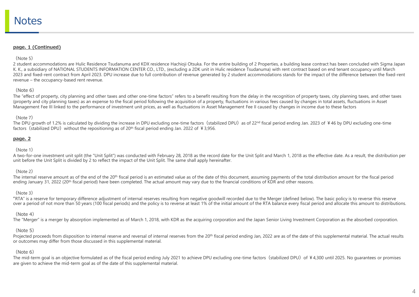#### **page. 1 (Continued)**

#### $(N$ ote 5)

2 student accommodations are Hulic Residence Tsudanuma and KDX residence Hachioji Otsuka. For the entire building of 2 Properties, a building lease contract has been concluded with Sigma Japan K. K., a subsidiary of NATIONAL STUDENTS INFORMATION CENTER CO., LTD., (excluding a 2DK unit in Hulic residence Tsudanuma) with rent contract based on end tenant occupancy until March 2023 and fixed-rent contract from April 2023. DPU increase due to full contribution of revenue generated by 2 student accommodations stands for the impact of the difference between the fixed-rent revenue – the occupancy-based rent revenue.

### (Note 6)

The "effect of property, city planning and other taxes and other one-time factors" refers to a benefit resulting from the delay in the recognition of property taxes, city planning taxes, and other taxes (property and city planning taxes) as an expense to the fiscal period following the acquisition of a property, fluctuations in various fees caused by changes in total assets, fluctuations in Asset Management Fee III linked to the performance of investment unit prices, as well as fluctuations in Asset Management Fee II caused by changes in income due to these factors

#### (Note 7)

The DPU growth of 1.2% is calculated by dividing the increase in DPU excluding one-time factors (stabilized DPU) as of 22<sup>nd</sup> fiscal period ending Jan. 2023 of ¥46 by DPU excluding one-time factors (stabilized DPU) without the repositioning as of 20<sup>th</sup> fiscal period ending Jan. 2022 of  $\frac{1}{2}$  3,956.

#### **page. 2**

## (Note 1)

A two-for-one investment unit split (the "Unit Split") was conducted with February 28, 2018 as the record date for the Unit Split and March 1, 2018 as the effective date. As a result, the distribution per unit before the Unit Split is divided by 2 to reflect the impact of the Unit Split. The same shall apply hereinafter.

# (Note 2)

The internal reserve amount as of the end of the 20<sup>th</sup> fiscal period is an estimated value as of the date of this document, assuming payments of the total distribution amount for the fiscal period ending January 31, 2022 (20<sup>th</sup> fiscal period) have been completed. The actual amount may vary due to the financial conditions of KDR and other reasons.

#### $(Mote 3)$

"RTA" is a reserve for temporary difference adjustment of internal reserves resulting from negative goodwill recorded due to the Merger (defined below). The basic policy is to reverse this reserve over a period of not more than 50 years (100 fiscal periods) and the policy is to reverse at least 1% of the initial amount of the RTA balance every fiscal period and allocate this amount to distributions.

# (Note 4)

The "Merger" is a merger by absorption implemented as of March 1, 2018, with KDR as the acquiring corporation and the Japan Senior Living Investment Corporation as the absorbed corporation.

# (Note 5)

Projected proceeds from disposition to internal reserve and reversal of internal reserves from the 20<sup>th</sup> fiscal period ending Jan, 2022 are as of the date of this supplemental material. The actual results or outcomes may differ from those discussed in this supplemental material.

# (Note 6)

The mid-term goal is an objective formulated as of the fiscal period ending July 2021 to achieve DPU excluding one-time factors (stabilized DPU) of ¥4,300 until 2025. No quarantees or promises are given to achieve the mid-term goal as of the date of this supplemental material.